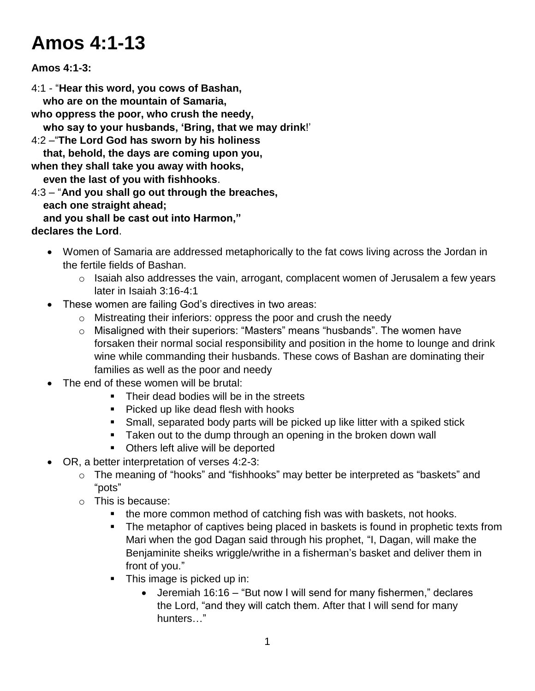# **Amos 4:1-13**

#### **Amos 4:1-3:**

4:1 - "**Hear this word, you cows of Bashan, who are on the mountain of Samaria, who oppress the poor, who crush the needy, who say to your husbands, 'Bring, that we may drink**!' 4:2 –"**The Lord God has sworn by his holiness that, behold, the days are coming upon you, when they shall take you away with hooks, even the last of you with fishhooks**. 4:3 – "**And you shall go out through the breaches, each one straight ahead; and you shall be cast out into Harmon,"**

#### **declares the Lord**.

- Women of Samaria are addressed metaphorically to the fat cows living across the Jordan in the fertile fields of Bashan.
	- $\circ$  Isaiah also addresses the vain, arrogant, complacent women of Jerusalem a few years later in Isaiah 3:16-4:1
- These women are failing God's directives in two areas:
	- o Mistreating their inferiors: oppress the poor and crush the needy
	- o Misaligned with their superiors: "Masters" means "husbands". The women have forsaken their normal social responsibility and position in the home to lounge and drink wine while commanding their husbands. These cows of Bashan are dominating their families as well as the poor and needy
- The end of these women will be brutal:
	- Their dead bodies will be in the streets
	- **Picked up like dead flesh with hooks**
	- Small, separated body parts will be picked up like litter with a spiked stick
	- **Taken out to the dump through an opening in the broken down wall**
	- **•** Others left alive will be deported
- OR, a better interpretation of verses 4:2-3:
	- o The meaning of "hooks" and "fishhooks" may better be interpreted as "baskets" and "pots"
	- o This is because:
		- the more common method of catching fish was with baskets, not hooks.
		- The metaphor of captives being placed in baskets is found in prophetic texts from Mari when the god Dagan said through his prophet, "I, Dagan, will make the Benjaminite sheiks wriggle/writhe in a fisherman's basket and deliver them in front of you."
		- **This image is picked up in:** 
			- Jeremiah 16:16 "But now I will send for many fishermen," declares the Lord, "and they will catch them. After that I will send for many hunters…"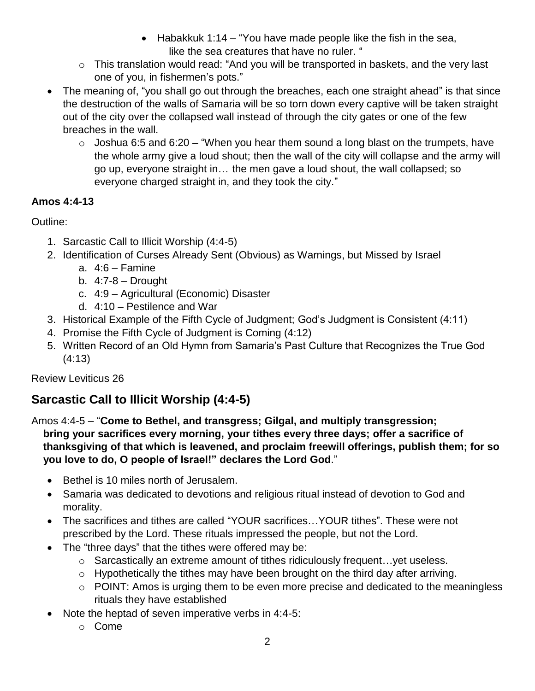- Habakkuk 1:14 "You have made people like the fish in the sea, like the sea creatures that have no ruler. "
- o This translation would read: "And you will be transported in baskets, and the very last one of you, in fishermen's pots."
- The meaning of, "you shall go out through the breaches, each one straight ahead" is that since the destruction of the walls of Samaria will be so torn down every captive will be taken straight out of the city over the collapsed wall instead of through the city gates or one of the few breaches in the wall.
	- $\circ$  Joshua 6:5 and 6:20 "When you hear them sound a long blast on the trumpets, have the whole army give a loud shout; then the wall of the city will collapse and the army will go up, everyone straight in… the men gave a loud shout, the wall collapsed; so everyone charged straight in, and they took the city."

### **Amos 4:4-13**

Outline:

- 1. Sarcastic Call to Illicit Worship (4:4-5)
- 2. Identification of Curses Already Sent (Obvious) as Warnings, but Missed by Israel
	- a. 4:6 Famine
	- b.  $4:7-8$  Drought
	- c. 4:9 Agricultural (Economic) Disaster
	- d. 4:10 Pestilence and War
- 3. Historical Example of the Fifth Cycle of Judgment; God's Judgment is Consistent (4:11)
- 4. Promise the Fifth Cycle of Judgment is Coming (4:12)
- 5. Written Record of an Old Hymn from Samaria's Past Culture that Recognizes the True God (4:13)

Review Leviticus 26

# **Sarcastic Call to Illicit Worship (4:4-5)**

Amos 4:4-5 – "**Come to Bethel, and transgress; Gilgal, and multiply transgression; bring your sacrifices every morning, your tithes every three days; offer a sacrifice of thanksgiving of that which is leavened, and proclaim freewill offerings, publish them; for so you love to do, O people of Israel!" declares the Lord God**."

- Bethel is 10 miles north of Jerusalem.
- Samaria was dedicated to devotions and religious ritual instead of devotion to God and morality.
- The sacrifices and tithes are called "YOUR sacrifices…YOUR tithes". These were not prescribed by the Lord. These rituals impressed the people, but not the Lord.
- The "three days" that the tithes were offered may be:
	- $\circ$  Sarcastically an extreme amount of tithes ridiculously frequent... yet useless.
	- $\circ$  Hypothetically the tithes may have been brought on the third day after arriving.
	- o POINT: Amos is urging them to be even more precise and dedicated to the meaningless rituals they have established
- Note the heptad of seven imperative verbs in 4:4-5:
	- o Come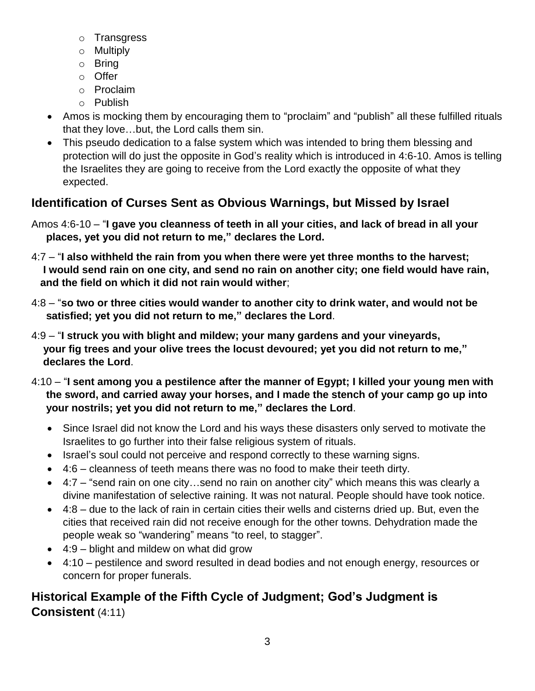- o Transgress
- o Multiply
- o Bring
- o Offer
- o Proclaim
- o Publish
- Amos is mocking them by encouraging them to "proclaim" and "publish" all these fulfilled rituals that they love…but, the Lord calls them sin.
- This pseudo dedication to a false system which was intended to bring them blessing and protection will do just the opposite in God's reality which is introduced in 4:6-10. Amos is telling the Israelites they are going to receive from the Lord exactly the opposite of what they expected.

## **Identification of Curses Sent as Obvious Warnings, but Missed by Israel**

- Amos 4:6-10 "**I gave you cleanness of teeth in all your cities, and lack of bread in all your places, yet you did not return to me," declares the Lord.**
- 4:7 "**I also withheld the rain from you when there were yet three months to the harvest; I would send rain on one city, and send no rain on another city; one field would have rain, and the field on which it did not rain would wither**;
- 4:8 "**so two or three cities would wander to another city to drink water, and would not be satisfied; yet you did not return to me," declares the Lord**.
- 4:9 "**I struck you with blight and mildew; your many gardens and your vineyards, your fig trees and your olive trees the locust devoured; yet you did not return to me," declares the Lord**.
- 4:10 "**I sent among you a pestilence after the manner of Egypt; I killed your young men with the sword, and carried away your horses, and I made the stench of your camp go up into your nostrils; yet you did not return to me," declares the Lord**.
	- Since Israel did not know the Lord and his ways these disasters only served to motivate the Israelites to go further into their false religious system of rituals.
	- Israel's soul could not perceive and respond correctly to these warning signs.
	- 4:6 cleanness of teeth means there was no food to make their teeth dirty.
	- 4:7 "send rain on one city…send no rain on another city" which means this was clearly a divine manifestation of selective raining. It was not natural. People should have took notice.
	- $\bullet$  4:8 due to the lack of rain in certain cities their wells and cisterns dried up. But, even the cities that received rain did not receive enough for the other towns. Dehydration made the people weak so "wandering" means "to reel, to stagger".
	- 4:9 blight and mildew on what did grow
	- 4:10 pestilence and sword resulted in dead bodies and not enough energy, resources or concern for proper funerals.

## **Historical Example of the Fifth Cycle of Judgment; God's Judgment is Consistent** (4:11)